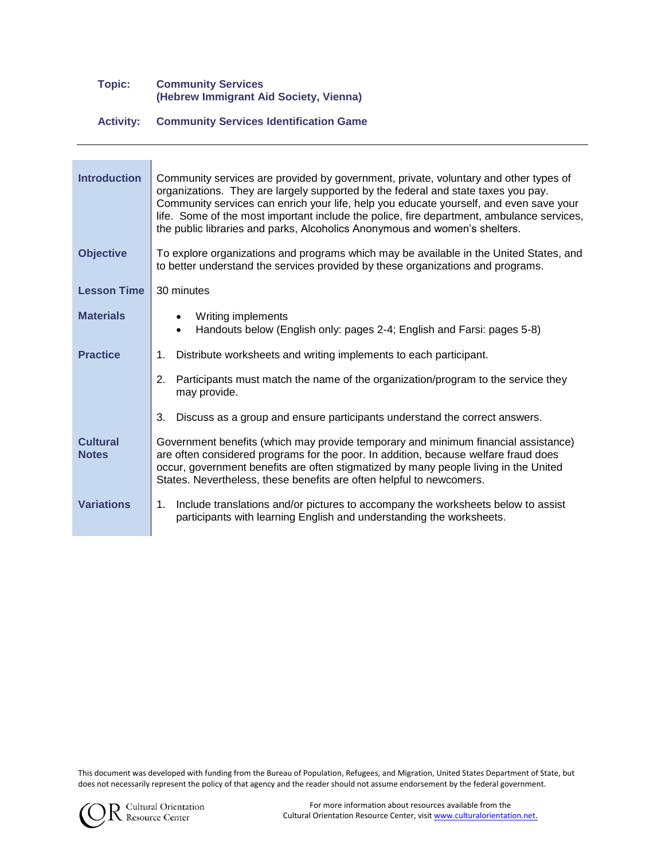## **Topic: Community Services (Hebrew Immigrant Aid Society, Vienna)**

## **Activity: Community Services Identification Game**

| <b>Introduction</b>             | Community services are provided by government, private, voluntary and other types of<br>organizations. They are largely supported by the federal and state taxes you pay.<br>Community services can enrich your life, help you educate yourself, and even save your<br>life. Some of the most important include the police, fire department, ambulance services,<br>the public libraries and parks, Alcoholics Anonymous and women's shelters. |
|---------------------------------|------------------------------------------------------------------------------------------------------------------------------------------------------------------------------------------------------------------------------------------------------------------------------------------------------------------------------------------------------------------------------------------------------------------------------------------------|
| <b>Objective</b>                | To explore organizations and programs which may be available in the United States, and<br>to better understand the services provided by these organizations and programs.                                                                                                                                                                                                                                                                      |
| <b>Lesson Time</b>              | 30 minutes                                                                                                                                                                                                                                                                                                                                                                                                                                     |
| <b>Materials</b>                | Writing implements<br>Handouts below (English only: pages 2-4; English and Farsi: pages 5-8)                                                                                                                                                                                                                                                                                                                                                   |
| <b>Practice</b>                 | Distribute worksheets and writing implements to each participant.<br>$1_{\cdot}$                                                                                                                                                                                                                                                                                                                                                               |
|                                 | Participants must match the name of the organization/program to the service they<br>2.<br>may provide.                                                                                                                                                                                                                                                                                                                                         |
|                                 | 3.<br>Discuss as a group and ensure participants understand the correct answers.                                                                                                                                                                                                                                                                                                                                                               |
| <b>Cultural</b><br><b>Notes</b> | Government benefits (which may provide temporary and minimum financial assistance)<br>are often considered programs for the poor. In addition, because welfare fraud does<br>occur, government benefits are often stigmatized by many people living in the United<br>States. Nevertheless, these benefits are often helpful to newcomers.                                                                                                      |
| <b>Variations</b>               | Include translations and/or pictures to accompany the worksheets below to assist<br>1.<br>participants with learning English and understanding the worksheets.                                                                                                                                                                                                                                                                                 |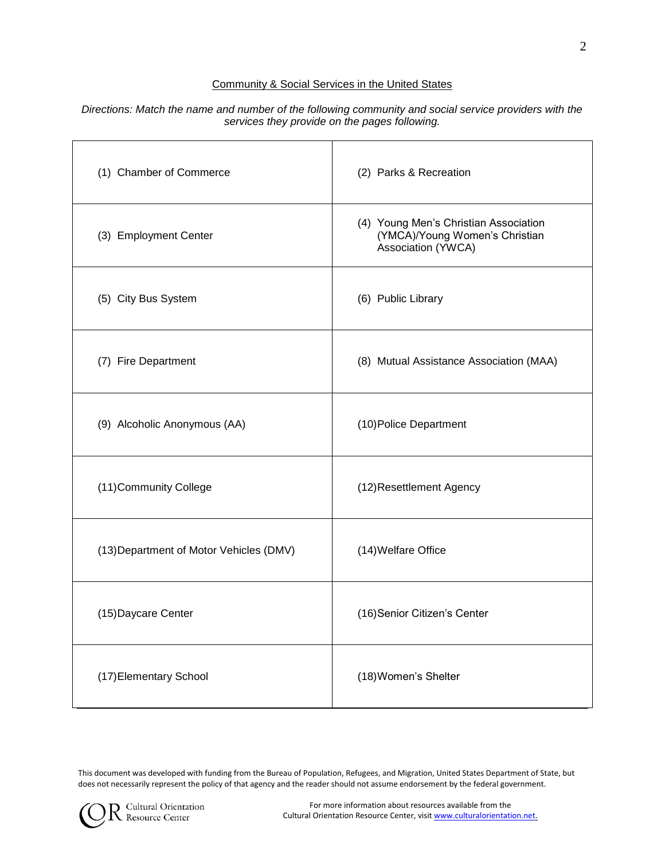# Community & Social Services in the United States

### *Directions: Match the name and number of the following community and social service providers with the services they provide on the pages following.*

| (1) Chamber of Commerce                 | (2) Parks & Recreation                                                                        |
|-----------------------------------------|-----------------------------------------------------------------------------------------------|
| (3) Employment Center                   | (4) Young Men's Christian Association<br>(YMCA)/Young Women's Christian<br>Association (YWCA) |
| (5) City Bus System                     | (6) Public Library                                                                            |
| (7) Fire Department                     | (8) Mutual Assistance Association (MAA)                                                       |
| (9) Alcoholic Anonymous (AA)            | (10) Police Department                                                                        |
| (11) Community College                  | (12) Resettlement Agency                                                                      |
| (13) Department of Motor Vehicles (DMV) | (14) Welfare Office                                                                           |
| (15) Daycare Center                     | (16) Senior Citizen's Center                                                                  |
| (17) Elementary School                  | (18) Women's Shelter                                                                          |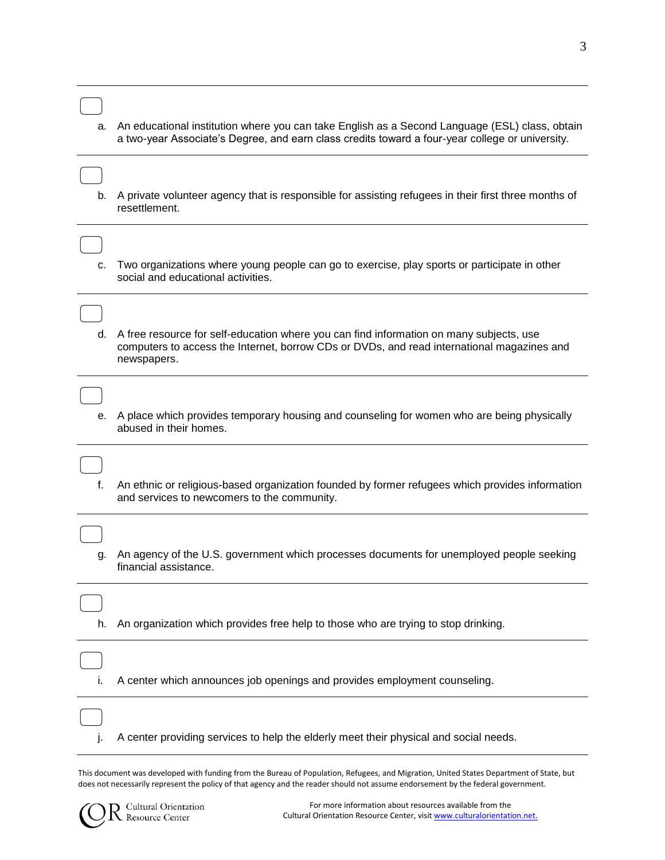| a. | An educational institution where you can take English as a Second Language (ESL) class, obtain<br>a two-year Associate's Degree, and earn class credits toward a four-year college or university.    |
|----|------------------------------------------------------------------------------------------------------------------------------------------------------------------------------------------------------|
| b. | A private volunteer agency that is responsible for assisting refugees in their first three months of<br>resettlement.                                                                                |
| c. | Two organizations where young people can go to exercise, play sports or participate in other<br>social and educational activities.                                                                   |
| d. | A free resource for self-education where you can find information on many subjects, use<br>computers to access the Internet, borrow CDs or DVDs, and read international magazines and<br>newspapers. |
|    | e. A place which provides temporary housing and counseling for women who are being physically<br>abused in their homes.                                                                              |
| f. | An ethnic or religious-based organization founded by former refugees which provides information<br>and services to newcomers to the community.                                                       |
| g. | An agency of the U.S. government which processes documents for unemployed people seeking<br>financial assistance.                                                                                    |
| h. | An organization which provides free help to those who are trying to stop drinking.                                                                                                                   |
| i. | A center which announces job openings and provides employment counseling.                                                                                                                            |
|    | A center providing services to help the elderly meet their physical and social needs.                                                                                                                |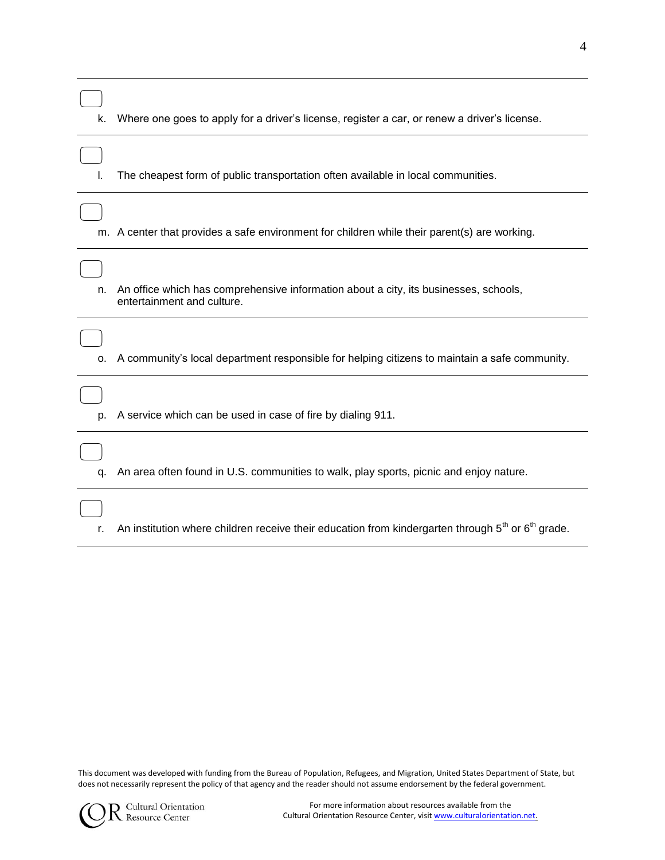| k.         | Where one goes to apply for a driver's license, register a car, or renew a driver's license.                       |
|------------|--------------------------------------------------------------------------------------------------------------------|
|            | The cheapest form of public transportation often available in local communities.                                   |
|            | m. A center that provides a safe environment for children while their parent(s) are working.                       |
| n.         | An office which has comprehensive information about a city, its businesses, schools,<br>entertainment and culture. |
| $\Omega$ . | A community's local department responsible for helping citizens to maintain a safe community.                      |
| p.         | A service which can be used in case of fire by dialing 911.                                                        |
| q.         | An area often found in U.S. communities to walk, play sports, picnic and enjoy nature.                             |
|            |                                                                                                                    |

r. An institution where children receive their education from kindergarten through  $5<sup>th</sup>$  or  $6<sup>th</sup>$  grade.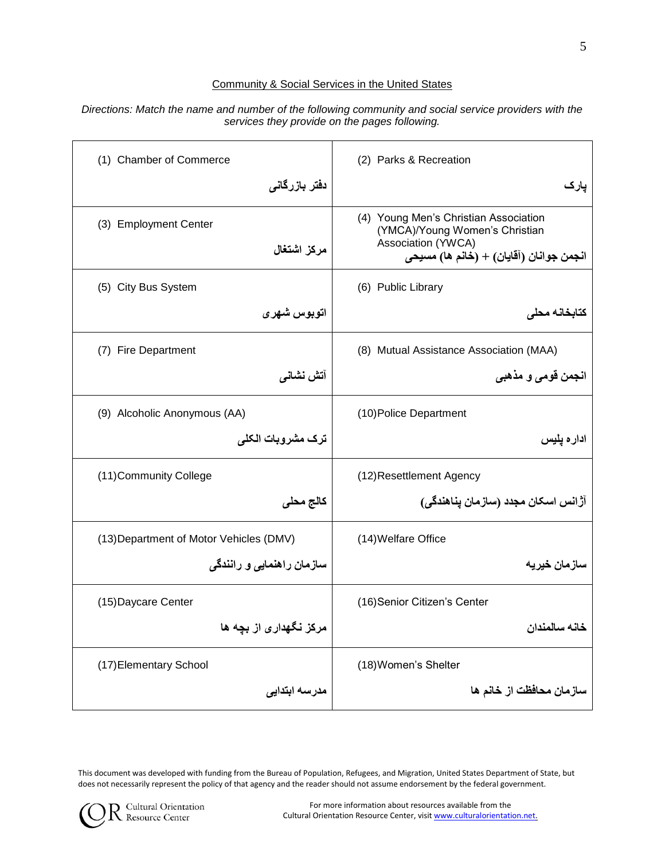## Community & Social Services in the United States

| (1) Chamber of Commerce                 | (2) Parks & Recreation                                                                                                                   |
|-----------------------------------------|------------------------------------------------------------------------------------------------------------------------------------------|
| دفتر بازرگانی                           | پارک                                                                                                                                     |
| (3) Employment Center<br>مركز اشتغال    | (4) Young Men's Christian Association<br>(YMCA)/Young Women's Christian<br>Association (YWCA)<br>انجمن جوانان (آقايان) + (خانم ها) مسيحي |
| (5) City Bus System                     | (6) Public Library                                                                                                                       |
| اتوبوس شهرى                             | كتابخانه محلى                                                                                                                            |
| (7) Fire Department                     | (8) Mutual Assistance Association (MAA)                                                                                                  |
| آتش نشانی                               | انجمن قومي و مذهبي                                                                                                                       |
| (9) Alcoholic Anonymous (AA)            | (10) Police Department                                                                                                                   |
| ترک مشروبات الکلی                       | اداره يليس                                                                                                                               |
| (11) Community College                  | (12) Resettlement Agency                                                                                                                 |
| كالج محلى                               | آژانس اسکان مجدد (سازمان پناهندگی)                                                                                                       |
| (13) Department of Motor Vehicles (DMV) | (14) Welfare Office                                                                                                                      |
| سازمان راهنمایی و رانندگی               | سازمان خيريه                                                                                                                             |
| (15) Daycare Center                     | (16) Senior Citizen's Center                                                                                                             |
| مرکز نگهداری از بچه ها                  | خانه سالمندان                                                                                                                            |
| (17) Elementary School                  | (18) Women's Shelter                                                                                                                     |
| مدرسه ابتدايى                           | سازمان محافظت از خانم ها                                                                                                                 |

#### *Directions: Match the name and number of the following community and social service providers with the services they provide on the pages following.*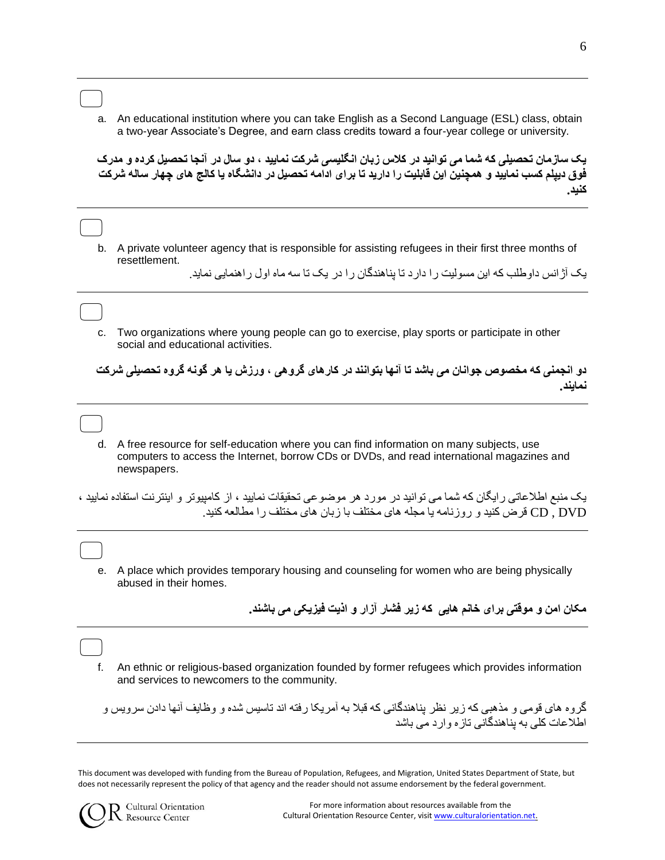$\qquad \qquad \Box$ a. An educational institution where you can take English as a Second Language (ESL) class, obtain a two-year Associate's Degree, and earn class credits toward a four-year college or university.

**یک سازمان تحصیلی که شما می توانید در کالس زبان انگلیسی شرکت نمایید ، دو سال در آنجا تحصیل کرده و مدرک فوق دیپلم کسب نمایید و همچنین این قابلیت را دارید تا برای ادامه تحصیل در دانشگاه یا کالج های چهار ساله شرکت کنید.**

 $\qquad \qquad \Box$ b. A private volunteer agency that is responsible for assisting refugees in their first three months of resettlement.

یک آژانس داوطلب که این مسولیت را دارد تا پناهندگان را در یک تا سه ماه اول راهنمایی نماید.

 $\qquad \qquad \Box$ c. Two organizations where young people can go to exercise, play sports or participate in other social and educational activities.

**دو انجمنی که مخصوص جوانان می باشد تا آنها بتوانند در کارهای گروهی ، ورزش یا هر گونه گروه تحصیلی شرکت نمایند.**

 $\qquad \qquad \Box$ d. A free resource for self-education where you can find information on many subjects, use computers to access the Internet, borrow CDs or DVDs, and read international magazines and newspapers.

یک منبع اطالعاتی رایگان که شما می توانید در مورد هر موضوعی تحقیقات نمایید ، از کامپیوتر و اینترنت استفاده نمایید ، DVD , CD قرض کنید و روزنامه یا مجله های مختلف با زبان های مختلف را مطالعه کنید.

 $\qquad \qquad \Box$ e. A place which provides temporary housing and counseling for women who are being physically abused in their homes.

**مکان امن و موقتی برای خانم هایی که زیر فشار آزار و اذیت فیزیکی می باشند.**

 $\qquad \qquad \Box$ f. An ethnic or religious-based organization founded by former refugees which provides information and services to newcomers to the community.

گروه های قومی و مذهبی که زیر نظر پناهندگانی که قبال به آمریکا رفته اند تاسیس شده و وظایف آنها دادن سرویس و اطالعات کلی به پناهندگانی تازه وارد می باشد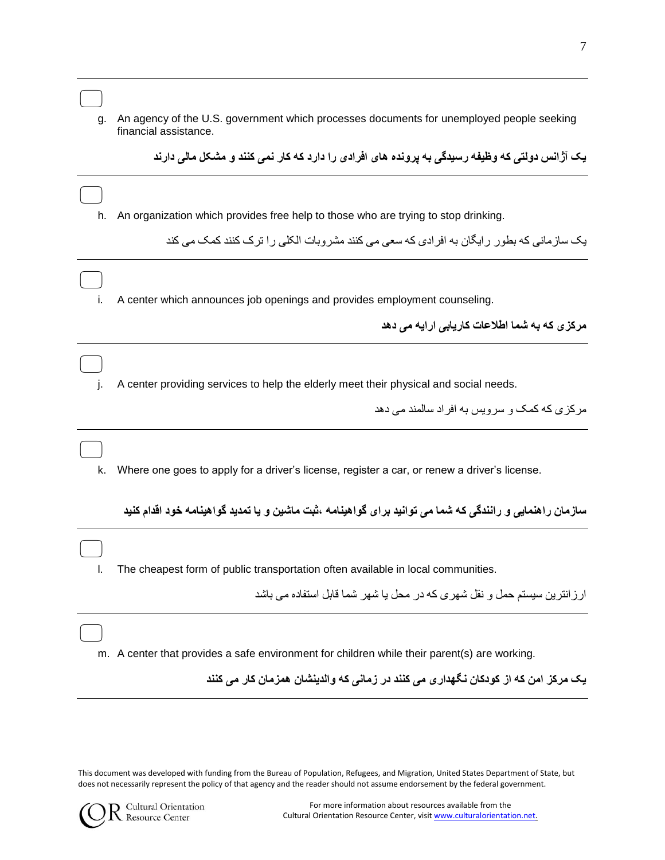| g. | An agency of the U.S. government which processes documents for unemployed people seeking<br>financial assistance. |
|----|-------------------------------------------------------------------------------------------------------------------|
|    | یک آژانس دولتی که وظیفه رسیدگی به یرونده های افرادی را دارد که کار نمی کنند و مشکل مالی دارند                     |
|    |                                                                                                                   |
| h. | An organization which provides free help to those who are trying to stop drinking.                                |
|    | بک ساز مانے که بطو رے رابگان به افر ادی که سعی مے کنند مشر وبات الکلے ر ا تر ک کنند کمک مے کند                    |
|    |                                                                                                                   |
| İ. | A center which announces job openings and provides employment counseling.                                         |
|    | مرکز ی که به شما اطلاعات کاریابی ارایه می دهد                                                                     |
|    |                                                                                                                   |
|    | A center providing services to help the elderly meet their physical and social needs.                             |
|    | مر کز ی که کمک و سر ویس به افر اد سالمند مے دهد                                                                   |
|    |                                                                                                                   |
| k. | Where one goes to apply for a driver's license, register a car, or renew a driver's license.                      |
|    | سازمان راهنمایی و رانندگی که شما می توانید برای گواهینامه ،ثبت ماشین و یا تمدید گواهینامه خود اقدام کنید          |
|    |                                                                                                                   |
|    | The cheapest form of public transportation often available in local communities.                                  |
|    | ارزانترین سیستم حمل و نقل شهری که در محل یا شهر شما قابل استفاده می باشد                                          |
|    |                                                                                                                   |
|    | m. A center that provides a safe environment for children while their parent(s) are working.                      |
|    | یک مرکز امن که از کودکان نگهداری می کنند در زمانی که والدینشان همزمان کار می کنند                                 |
|    |                                                                                                                   |

This document was developed with funding from the Bureau of Population, Refugees, and Migration, United States Department of State, but does not necessarily represent the policy of that agency and the reader should not assume endorsement by the federal government.

 $\Box$